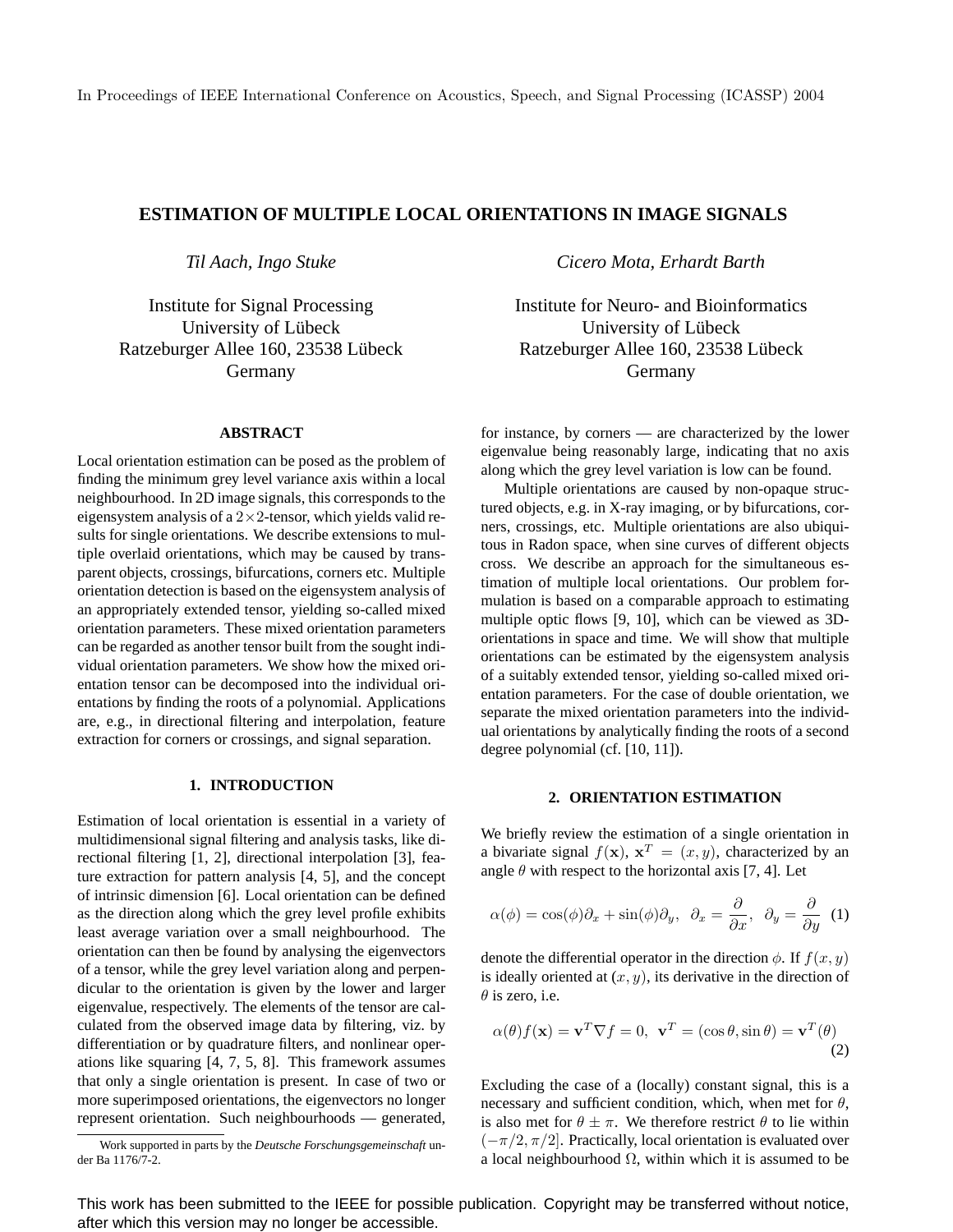# **ESTIMATION OF MULTIPLE LOCAL ORIENTATIONS IN IMAGE SIGNALS**

*Til Aach, Ingo Stuke*

Institute for Signal Processing University of Lübeck Ratzeburger Allee 160, 23538 Lübeck Germany

### **ABSTRACT**

Local orientation estimation can be posed as the problem of finding the minimum grey level variance axis within a local neighbourhood. In 2D image signals, this corresponds to the eigensystem analysis of a  $2 \times 2$ -tensor, which yields valid results for single orientations. We describe extensions to multiple overlaid orientations, which may be caused by transparent objects, crossings, bifurcations, corners etc. Multiple orientation detection is based on the eigensystem analysis of an appropriately extended tensor, yielding so-called mixed orientation parameters. These mixed orientation parameters can be regarded as another tensor built from the sought individual orientation parameters. We show how the mixed orientation tensor can be decomposed into the individual orientations by finding the roots of a polynomial. Applications are, e.g., in directional filtering and interpolation, feature extraction for corners or crossings, and signal separation.

# **1. INTRODUCTION**

Estimation of local orientation is essential in a variety of multidimensional signal filtering and analysis tasks, like directional filtering [1, 2], directional interpolation [3], feature extraction for pattern analysis [4, 5], and the concept of intrinsic dimension [6]. Local orientation can be defined as the direction along which the grey level profile exhibits least average variation over a small neighbourhood. The orientation can then be found by analysing the eigenvectors of a tensor, while the grey level variation along and perpendicular to the orientation is given by the lower and larger eigenvalue, respectively. The elements of the tensor are calculated from the observed image data by filtering, viz. by differentiation or by quadrature filters, and nonlinear operations like squaring [4, 7, 5, 8]. This framework assumes that only a single orientation is present. In case of two or more superimposed orientations, the eigenvectors no longer represent orientation. Such neighbourhoods — generated,

*Cicero Mota, Erhardt Barth*

Institute for Neuro- and Bioinformatics University of Lübeck Ratzeburger Allee 160, 23538 Lübeck Germany

for instance, by corners — are characterized by the lower eigenvalue being reasonably large, indicating that no axis along which the grey level variation is low can be found.

Multiple orientations are caused by non-opaque structured objects, e.g. in X-ray imaging, or by bifurcations, corners, crossings, etc. Multiple orientations are also ubiquitous in Radon space, when sine curves of different objects cross. We describe an approach for the simultaneous estimation of multiple local orientations. Our problem formulation is based on a comparable approach to estimating multiple optic flows [9, 10], which can be viewed as 3Dorientations in space and time. We will show that multiple orientations can be estimated by the eigensystem analysis of a suitably extended tensor, yielding so-called mixed orientation parameters. For the case of double orientation, we separate the mixed orientation parameters into the individual orientations by analytically finding the roots of a second degree polynomial (cf. [10, 11]).

### **2. ORIENTATION ESTIMATION**

We briefly review the estimation of a single orientation in a bivariate signal  $f(\mathbf{x})$ ,  $\mathbf{x}^T = (x, y)$ , characterized by an angle  $\theta$  with respect to the horizontal axis [7, 4]. Let

$$
\alpha(\phi) = \cos(\phi)\partial_x + \sin(\phi)\partial_y, \ \ \partial_x = \frac{\partial}{\partial x}, \ \ \partial_y = \frac{\partial}{\partial y} \ \ (1)
$$

denote the differential operator in the direction  $\phi$ . If  $f(x, y)$ is ideally oriented at  $(x, y)$ , its derivative in the direction of  $\theta$  is zero, i.e.

$$
\alpha(\theta)f(\mathbf{x}) = \mathbf{v}^T \nabla f = 0, \ \mathbf{v}^T = (\cos \theta, \sin \theta) = \mathbf{v}^T(\theta)
$$
\n(2)

Excluding the case of a (locally) constant signal, this is a necessary and sufficient condition, which, when met for  $\theta$ , is also met for  $\theta \pm \pi$ . We therefore restrict  $\theta$  to lie within  $(-\pi/2, \pi/2]$ . Practically, local orientation is evaluated over a local neighbourhood  $\Omega$ , within which it is assumed to be

This work has been submitted to the IEEE for possible publication. Copyright may be transferred without notice, after which this version may no longer be accessible.

Work supported in parts by the *Deutsche Forschungsgemeinschaft* under Ba 1176/7-2.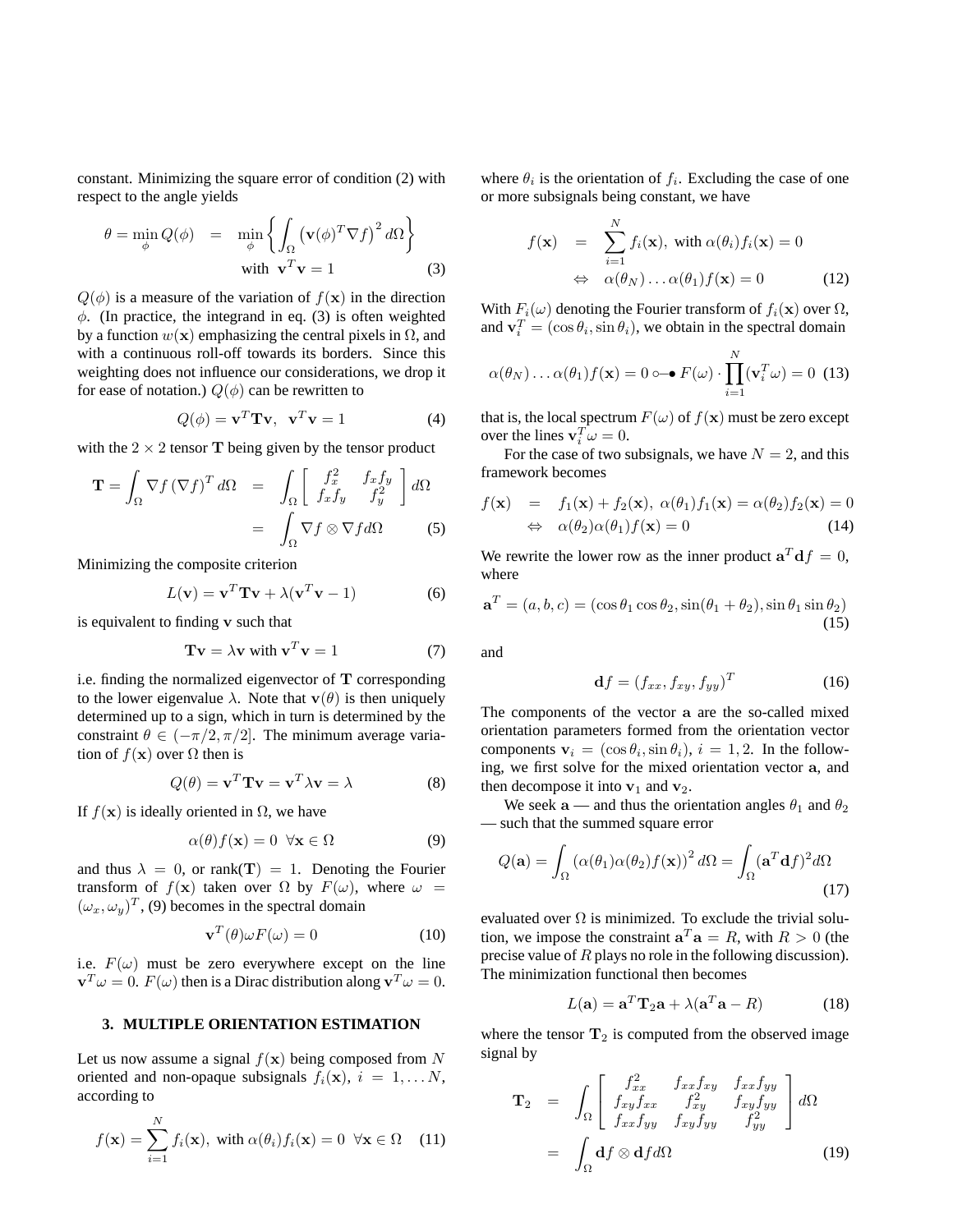constant. Minimizing the square error of condition (2) with respect to the angle yields

$$
\theta = \min_{\phi} Q(\phi) = \min_{\phi} \left\{ \int_{\Omega} (\mathbf{v}(\phi)^{T} \nabla f)^{2} d\Omega \right\}
$$
  
with  $\mathbf{v}^{T} \mathbf{v} = 1$  (3)

 $Q(\phi)$  is a measure of the variation of  $f(\mathbf{x})$  in the direction  $\phi$ . (In practice, the integrand in eq. (3) is often weighted by a function  $w(x)$  emphasizing the central pixels in  $\Omega$ , and with a continuous roll-off towards its borders. Since this weighting does not influence our considerations, we drop it for ease of notation.)  $Q(\phi)$  can be rewritten to

$$
Q(\phi) = \mathbf{v}^T \mathbf{T} \mathbf{v}, \quad \mathbf{v}^T \mathbf{v} = 1 \tag{4}
$$

with the  $2 \times 2$  tensor **T** being given by the tensor product

$$
\mathbf{T} = \int_{\Omega} \nabla f \left( \nabla f \right)^{T} d\Omega = \int_{\Omega} \left[ \begin{array}{cc} f_{x}^{2} & f_{x}f_{y} \\ f_{x}f_{y} & f_{y}^{2} \end{array} \right] d\Omega
$$

$$
= \int_{\Omega} \nabla f \otimes \nabla f d\Omega \qquad (5)
$$

Minimizing the composite criterion

$$
L(\mathbf{v}) = \mathbf{v}^T \mathbf{T} \mathbf{v} + \lambda (\mathbf{v}^T \mathbf{v} - 1)
$$
 (6)

is equivalent to finding v such that

$$
Tv = \lambda v \text{ with } v^T v = 1 \tag{7}
$$

i.e. finding the normalized eigenvector of T corresponding to the lower eigenvalue  $\lambda$ . Note that  $\mathbf{v}(\theta)$  is then uniquely determined up to a sign, which in turn is determined by the constraint  $\theta \in (-\pi/2, \pi/2]$ . The minimum average variation of  $f(\mathbf{x})$  over  $\Omega$  then is

$$
Q(\theta) = \mathbf{v}^T \mathbf{T} \mathbf{v} = \mathbf{v}^T \lambda \mathbf{v} = \lambda
$$
 (8)

If  $f(\mathbf{x})$  is ideally oriented in  $\Omega$ , we have

$$
\alpha(\theta)f(\mathbf{x}) = 0 \quad \forall \mathbf{x} \in \Omega \tag{9}
$$

and thus  $\lambda = 0$ , or rank(T) = 1. Denoting the Fourier transform of  $f(x)$  taken over  $\Omega$  by  $F(\omega)$ , where  $\omega =$  $(\omega_x, \omega_y)^T$ , (9) becomes in the spectral domain

$$
\mathbf{v}^T(\theta)\omega F(\omega) = 0 \tag{10}
$$

i.e.  $F(\omega)$  must be zero everywhere except on the line  $\mathbf{v}^T \omega = 0$ .  $F(\omega)$  then is a Dirac distribution along  $\mathbf{v}^T \omega = 0$ .

### **3. MULTIPLE ORIENTATION ESTIMATION**

Let us now assume a signal  $f(x)$  being composed from N oriented and non-opaque subsignals  $f_i(\mathbf{x}), i = 1, \dots N$ , according to

$$
f(\mathbf{x}) = \sum_{i=1}^{N} f_i(\mathbf{x}), \text{ with } \alpha(\theta_i) f_i(\mathbf{x}) = 0 \quad \forall \mathbf{x} \in \Omega \quad (11)
$$

where  $\theta_i$  is the orientation of  $f_i$ . Excluding the case of one or more subsignals being constant, we have

$$
f(\mathbf{x}) = \sum_{i=1}^{N} f_i(\mathbf{x}), \text{ with } \alpha(\theta_i) f_i(\mathbf{x}) = 0
$$
  

$$
\Leftrightarrow \alpha(\theta_N) \dots \alpha(\theta_1) f(\mathbf{x}) = 0
$$
 (12)

With  $F_i(\omega)$  denoting the Fourier transform of  $f_i(\mathbf{x})$  over  $\Omega$ , and  $\mathbf{v}_i^T = (\cos \theta_i, \sin \theta_i)$ , we obtain in the spectral domain

$$
\alpha(\theta_N)\dots\alpha(\theta_1)f(\mathbf{x})=0\circ\mathbf{\rightarrow} F(\omega)\cdot\prod_{i=1}^N(\mathbf{v}_i^T\omega)=0\tag{13}
$$

that is, the local spectrum  $F(\omega)$  of  $f(\mathbf{x})$  must be zero except over the lines  $\mathbf{v}_i^T \boldsymbol{\omega} = 0$ .

For the case of two subsignals, we have  $N = 2$ , and this framework becomes

$$
f(\mathbf{x}) = f_1(\mathbf{x}) + f_2(\mathbf{x}), \ \alpha(\theta_1) f_1(\mathbf{x}) = \alpha(\theta_2) f_2(\mathbf{x}) = 0
$$
  

$$
\Leftrightarrow \ \alpha(\theta_2) \alpha(\theta_1) f(\mathbf{x}) = 0 \tag{14}
$$

We rewrite the lower row as the inner product  $\mathbf{a}^T \mathbf{d}f = 0$ , where

$$
\mathbf{a}^T = (a, b, c) = (\cos \theta_1 \cos \theta_2, \sin(\theta_1 + \theta_2), \sin \theta_1 \sin \theta_2)
$$
\n(15)

and

$$
\mathbf{d}f = (f_{xx}, f_{xy}, f_{yy})^T \tag{16}
$$

The components of the vector a are the so-called mixed orientation parameters formed from the orientation vector components  $\mathbf{v}_i = (\cos \theta_i, \sin \theta_i), i = 1, 2$ . In the following, we first solve for the mixed orientation vector a, and then decompose it into  $v_1$  and  $v_2$ .

We seek a — and thus the orientation angles  $\theta_1$  and  $\theta_2$ — such that the summed square error

$$
Q(\mathbf{a}) = \int_{\Omega} \left( \alpha(\theta_1) \alpha(\theta_2) f(\mathbf{x}) \right)^2 d\Omega = \int_{\Omega} (\mathbf{a}^T \mathbf{d} f)^2 d\Omega
$$
\n(17)

evaluated over  $\Omega$  is minimized. To exclude the trivial solution, we impose the constraint  $\mathbf{a}^T \mathbf{a} = R$ , with  $R > 0$  (the precise value of R plays no role in the following discussion). The minimization functional then becomes

$$
L(\mathbf{a}) = \mathbf{a}^T \mathbf{T}_2 \mathbf{a} + \lambda (\mathbf{a}^T \mathbf{a} - R) \tag{18}
$$

where the tensor  $T_2$  is computed from the observed image signal by

$$
\mathbf{T}_2 = \int_{\Omega} \begin{bmatrix} f_{xx}^2 & f_{xx}f_{xy} & f_{xx}f_{yy} \\ f_{xy}f_{xx} & f_{xy}^2 & f_{xy}f_{yy} \\ f_{xx}f_{yy} & f_{xy}f_{yy} & f_{yy}^2 \end{bmatrix} d\Omega
$$

$$
= \int_{\Omega} \mathbf{d}f \otimes \mathbf{d}f d\Omega
$$
(19)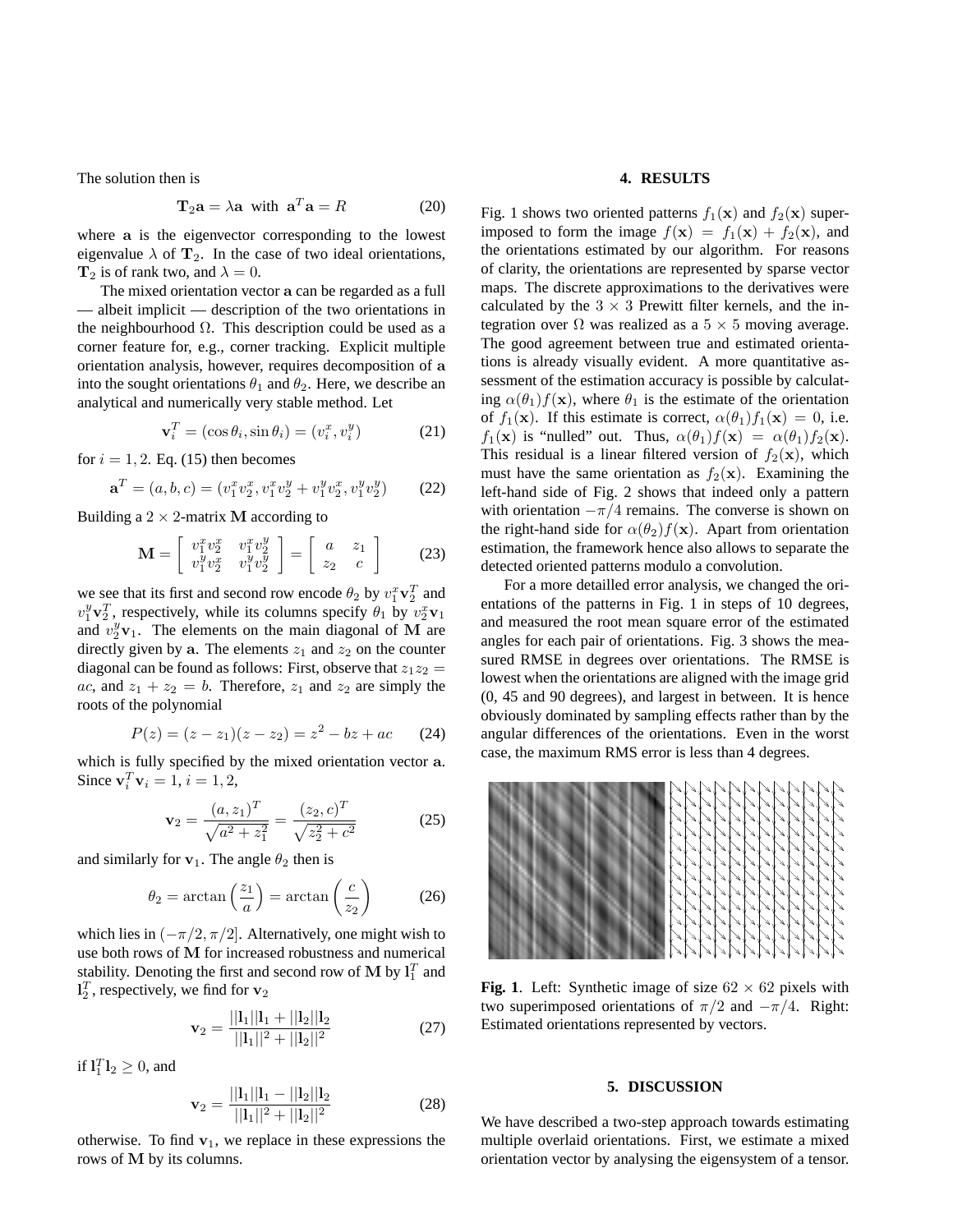The solution then is

$$
\mathbf{T}_2 \mathbf{a} = \lambda \mathbf{a} \quad \text{with} \quad \mathbf{a}^T \mathbf{a} = R \tag{20}
$$

where a is the eigenvector corresponding to the lowest eigenvalue  $\lambda$  of  $T_2$ . In the case of two ideal orientations,  $T_2$  is of rank two, and  $\lambda = 0$ .

The mixed orientation vector a can be regarded as a full — albeit implicit — description of the two orientations in the neighbourhood  $\Omega$ . This description could be used as a corner feature for, e.g., corner tracking. Explicit multiple orientation analysis, however, requires decomposition of a into the sought orientations  $\theta_1$  and  $\theta_2$ . Here, we describe an analytical and numerically very stable method. Let

$$
\mathbf{v}_i^T = (\cos \theta_i, \sin \theta_i) = (v_i^x, v_i^y) \tag{21}
$$

for  $i = 1, 2$ . Eq. (15) then becomes

$$
\mathbf{a}^T = (a, b, c) = (v_1^x v_2^x, v_1^x v_2^y + v_1^y v_2^x, v_1^y v_2^y) \tag{22}
$$

Building a  $2 \times 2$ -matrix M according to

$$
\mathbf{M} = \begin{bmatrix} v_1^x v_2^x & v_1^x v_2^y \\ v_1^y v_2^x & v_1^y v_2^y \end{bmatrix} = \begin{bmatrix} a & z_1 \\ z_2 & c \end{bmatrix}
$$
 (23)

we see that its first and second row encode  $\theta_2$  by  $v_1^x \mathbf{v}_2^T$  and  $v_1^y \mathbf{v}_2^T$ , respectively, while its columns specify  $\theta_1$  by  $v_2^x \mathbf{v}_1$ and  $v_2^y \mathbf{v}_1$ . The elements on the main diagonal of M are directly given by a. The elements  $z_1$  and  $z_2$  on the counter diagonal can be found as follows: First, observe that  $z_1z_2 =$ ac, and  $z_1 + z_2 = b$ . Therefore,  $z_1$  and  $z_2$  are simply the roots of the polynomial

$$
P(z) = (z - z1)(z - z2) = z2 - bz + ac
$$
 (24)

which is fully specified by the mixed orientation vector a. Since  ${\bf v}_i^T{\bf v}_i = 1, i = 1, 2,$ 

$$
\mathbf{v}_2 = \frac{(a, z_1)^T}{\sqrt{a^2 + z_1^2}} = \frac{(z_2, c)^T}{\sqrt{z_2^2 + c^2}}
$$
(25)

and similarly for  $v_1$ . The angle  $\theta_2$  then is

$$
\theta_2 = \arctan\left(\frac{z_1}{a}\right) = \arctan\left(\frac{c}{z_2}\right) \tag{26}
$$

which lies in  $(-\pi/2, \pi/2]$ . Alternatively, one might wish to use both rows of M for increased robustness and numerical stability. Denoting the first and second row of M by  $l_1^T$  and  $\mathbf{l}_2^T$ , respectively, we find for  $\mathbf{v}_2$ 

$$
\mathbf{v}_2 = \frac{||\mathbf{l}_1||\mathbf{l}_1 + ||\mathbf{l}_2||\mathbf{l}_2}{||\mathbf{l}_1||^2 + ||\mathbf{l}_2||^2}
$$
(27)

if  $\mathbf{l}_1^T \mathbf{l}_2 \geq 0$ , and

$$
\mathbf{v}_2 = \frac{||\mathbf{l}_1||\mathbf{l}_1 - ||\mathbf{l}_2||\mathbf{l}_2}{||\mathbf{l}_1||^2 + ||\mathbf{l}_2||^2}
$$
(28)

otherwise. To find  $v_1$ , we replace in these expressions the rows of M by its columns.

# **4. RESULTS**

Fig. 1 shows two oriented patterns  $f_1(\mathbf{x})$  and  $f_2(\mathbf{x})$  superimposed to form the image  $f(\mathbf{x}) = f_1(\mathbf{x}) + f_2(\mathbf{x})$ , and the orientations estimated by our algorithm. For reasons of clarity, the orientations are represented by sparse vector maps. The discrete approximations to the derivatives were calculated by the  $3 \times 3$  Prewitt filter kernels, and the integration over  $\Omega$  was realized as a  $5 \times 5$  moving average. The good agreement between true and estimated orientations is already visually evident. A more quantitative assessment of the estimation accuracy is possible by calculating  $\alpha(\theta_1)f(\mathbf{x})$ , where  $\theta_1$  is the estimate of the orientation of  $f_1(\mathbf{x})$ . If this estimate is correct,  $\alpha(\theta_1)f_1(\mathbf{x}) = 0$ , i.e.  $f_1(\mathbf{x})$  is "nulled" out. Thus,  $\alpha(\theta_1)f(\mathbf{x}) = \alpha(\theta_1)f_2(\mathbf{x})$ . This residual is a linear filtered version of  $f_2(\mathbf{x})$ , which must have the same orientation as  $f_2(\mathbf{x})$ . Examining the left-hand side of Fig. 2 shows that indeed only a pattern with orientation  $-\pi/4$  remains. The converse is shown on the right-hand side for  $\alpha(\theta_2)f(\mathbf{x})$ . Apart from orientation estimation, the framework hence also allows to separate the detected oriented patterns modulo a convolution.

For a more detailled error analysis, we changed the orientations of the patterns in Fig. 1 in steps of 10 degrees, and measured the root mean square error of the estimated angles for each pair of orientations. Fig. 3 shows the measured RMSE in degrees over orientations. The RMSE is lowest when the orientations are aligned with the image grid (0, 45 and 90 degrees), and largest in between. It is hence obviously dominated by sampling effects rather than by the angular differences of the orientations. Even in the worst case, the maximum RMS error is less than 4 degrees.



**Fig. 1**. Left: Synthetic image of size  $62 \times 62$  pixels with two superimposed orientations of  $\pi/2$  and  $-\pi/4$ . Right: Estimated orientations represented by vectors.

#### **5. DISCUSSION**

We have described a two-step approach towards estimating multiple overlaid orientations. First, we estimate a mixed orientation vector by analysing the eigensystem of a tensor.